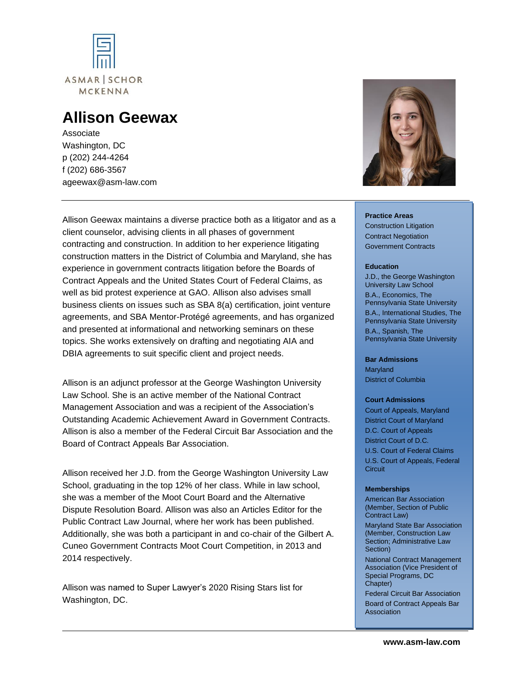

# **Allison Geewax**

Associate Washington, DC p (202) 244-4264 f (202) 686-3567 ageewax@asm-law.com



## Allison Geewax maintains a diverse practice both as a litigator and as a client counselor, advising clients in all phases of government contracting and construction. In addition to her experience litigating construction matters in the District of Columbia and Maryland, she has experience in government contracts litigation before the Boards of Contract Appeals and the United States Court of Federal Claims, as well as bid protest experience at GAO. Allison also advises small business clients on issues such as SBA 8(a) certification, joint venture agreements, and SBA Mentor-Protégé agreements, and has organized and presented at informational and networking seminars on these topics. She works extensively on drafting and negotiating AIA and DBIA agreements to suit specific client and project needs.

Allison is an adjunct professor at the George Washington University Law School. She is an active member of the National Contract Management Association and was a recipient of the Association's Outstanding Academic Achievement Award in Government Contracts. Allison is also a member of the Federal Circuit Bar Association and the Board of Contract Appeals Bar Association.

Allison received her J.D. from the George Washington University Law School, graduating in the top 12% of her class. While in law school, she was a member of the Moot Court Board and the Alternative Dispute Resolution Board. Allison was also an Articles Editor for the Public Contract Law Journal, where her work has been published. Additionally, she was both a participant in and co-chair of the Gilbert A. Cuneo Government Contracts Moot Court Competition, in 2013 and 2014 respectively.

Allison was named to Super Lawyer's 2020 Rising Stars list for Washington, DC.

#### **Practice Areas** Construction Litigation Contract Negotiation Government Contracts

#### **Education**

J.D., the George Washington University Law School B.A., Economics, The Pennsylvania State University B.A., International Studies, The Pennsylvania State University B.A., Spanish, The Pennsylvania State University

#### **Bar Admissions**

**Maryland** District of Columbia

#### **Court Admissions**

Court of Appeals, Maryland District Court of Maryland D.C. Court of Appeals District Court of D.C. U.S. Court of Federal Claims U.S. Court of Appeals, Federal **Circuit** 

#### **Memberships**

American Bar Association (Member, Section of Public Contract Law) Maryland State Bar Association (Member, Construction Law Section; Administrative Law Section) National Contract Management Association (Vice President of Special Programs, DC Chapter) Federal Circuit Bar Association Board of Contract Appeals Bar Association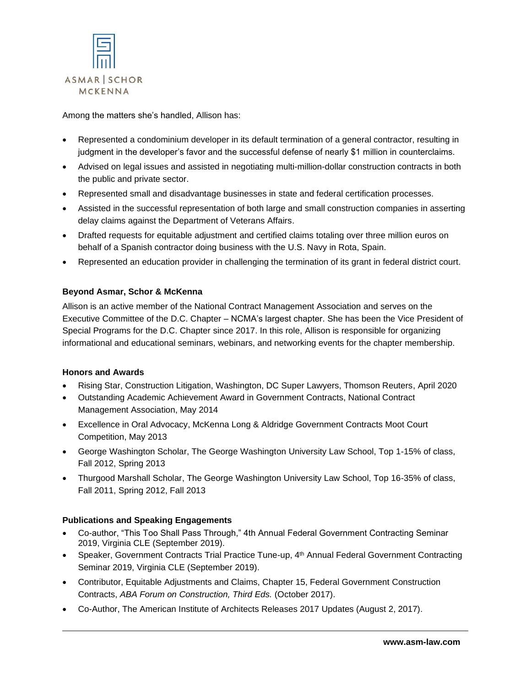

Among the matters she's handled, Allison has:

- Represented a condominium developer in its default termination of a general contractor, resulting in judgment in the developer's favor and the successful defense of nearly \$1 million in counterclaims.
- Advised on legal issues and assisted in negotiating multi-million-dollar construction contracts in both the public and private sector.
- Represented small and disadvantage businesses in state and federal certification processes.
- Assisted in the successful representation of both large and small construction companies in asserting delay claims against the Department of Veterans Affairs.
- Drafted requests for equitable adjustment and certified claims totaling over three million euros on behalf of a Spanish contractor doing business with the U.S. Navy in Rota, Spain.
- Represented an education provider in challenging the termination of its grant in federal district court.

## **Beyond Asmar, Schor & McKenna**

Allison is an active member of the National Contract Management Association and serves on the Executive Committee of the D.C. Chapter – NCMA's largest chapter. She has been the Vice President of Special Programs for the D.C. Chapter since 2017. In this role, Allison is responsible for organizing informational and educational seminars, webinars, and networking events for the chapter membership.

## **Honors and Awards**

- Rising Star, Construction Litigation, Washington, DC Super Lawyers, Thomson Reuters, April 2020
- Outstanding Academic Achievement Award in Government Contracts, National Contract Management Association, May 2014
- Excellence in Oral Advocacy, McKenna Long & Aldridge Government Contracts Moot Court Competition, May 2013
- George Washington Scholar, The George Washington University Law School, Top 1-15% of class, Fall 2012, Spring 2013
- Thurgood Marshall Scholar, The George Washington University Law School, Top 16-35% of class, Fall 2011, Spring 2012, Fall 2013

## **Publications and Speaking Engagements**

- Co-author, "This Too Shall Pass Through," 4th Annual Federal Government Contracting Seminar 2019, Virginia CLE (September 2019).
- Speaker, Government Contracts Trial Practice Tune-up, 4<sup>th</sup> Annual Federal Government Contracting Seminar 2019, Virginia CLE (September 2019).
- Contributor, Equitable Adjustments and Claims, Chapter 15, Federal Government Construction Contracts, *ABA Forum on Construction, Third Eds.* (October 2017).
- Co-Author, The American Institute of Architects Releases 2017 Updates (August 2, 2017).